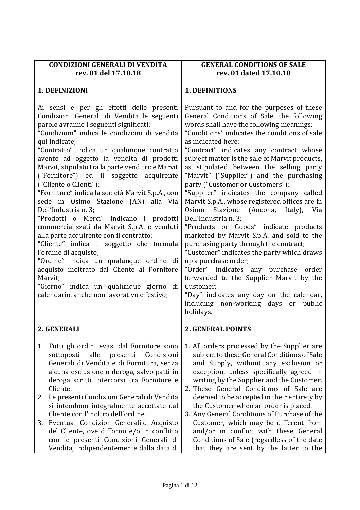| <b>CONDIZIONI GENERALI DI VENDITA</b><br>rev. 01 del 17.10.18                                                                                                                                                                                                                                                                                                                                                                                                                                                                                                                                                                                                                                                                                                                                                                                                                                                                                     | <b>GENERAL CONDITIONS OF SALE</b><br>rev. 01 dated 17.10.18                                                                                                                                                                                                                                                                                                                                                                                                                                                                                                                                                                                                                                                                                                                                                                                                                                                                                                                                          |
|---------------------------------------------------------------------------------------------------------------------------------------------------------------------------------------------------------------------------------------------------------------------------------------------------------------------------------------------------------------------------------------------------------------------------------------------------------------------------------------------------------------------------------------------------------------------------------------------------------------------------------------------------------------------------------------------------------------------------------------------------------------------------------------------------------------------------------------------------------------------------------------------------------------------------------------------------|------------------------------------------------------------------------------------------------------------------------------------------------------------------------------------------------------------------------------------------------------------------------------------------------------------------------------------------------------------------------------------------------------------------------------------------------------------------------------------------------------------------------------------------------------------------------------------------------------------------------------------------------------------------------------------------------------------------------------------------------------------------------------------------------------------------------------------------------------------------------------------------------------------------------------------------------------------------------------------------------------|
| 1. DEFINIZIONI                                                                                                                                                                                                                                                                                                                                                                                                                                                                                                                                                                                                                                                                                                                                                                                                                                                                                                                                    | <b>1. DEFINITIONS</b>                                                                                                                                                                                                                                                                                                                                                                                                                                                                                                                                                                                                                                                                                                                                                                                                                                                                                                                                                                                |
| Ai sensi e per gli effetti delle presenti<br>Condizioni Generali di Vendita le seguenti<br>parole avranno i seguenti significati:<br>"Condizioni" indica le condizioni di vendita<br>qui indicate;<br>"Contratto" indica un qualunque contratto<br>avente ad oggetto la vendita di prodotti<br>Marvit, stipulato tra la parte venditrice Marvit<br>("Fornitore") ed il soggetto acquirente<br>("Cliente o Clienti");<br>"Fornitore" indica la società Marvit S.p.A., con<br>sede in Osimo Stazione (AN)<br>alla Via<br>Dell'Industria n. 3;<br>"Prodotti o Merci" indicano i prodotti<br>commercializzati da Marvit S.p.A. e venduti<br>alla parte acquirente con il contratto;<br>"Cliente" indica il soggetto che formula<br>l'ordine di acquisto;<br>"Ordine" indica un qualunque ordine di<br>acquisto inoltrato dal Cliente al Fornitore<br>Marvit;<br>"Giorno" indica un qualunque giorno di<br>calendario, anche non lavorativo e festivo; | Pursuant to and for the purposes of these<br>General Conditions of Sale, the following<br>words shall have the following meanings:<br>"Conditions" indicates the conditions of sale<br>as indicated here;<br>"Contract" indicates any contract whose<br>subject matter is the sale of Marvit products,<br>as stipulated between the selling party<br>"Marvit" ("Supplier") and the purchasing<br>party ("Customer or Customers");<br>"Supplier" indicates the company called<br>Marvit S.p.A., whose registered offices are in<br>Osimo Stazione (Ancona, Italy), Via<br>Dell'Industria n. 3;<br>"Products or Goods" indicate products<br>marketed by Marvit S.p.A. and sold to the<br>purchasing party through the contract;<br>"Customer" indicates the party which draws<br>up a purchase order;<br>"Order" indicates any purchase order<br>forwarded to the Supplier Marvit by the<br>Customer;<br>"Day" indicates any day on the calendar,<br>including non-working days or public<br>holidays. |
| 2. GENERALI                                                                                                                                                                                                                                                                                                                                                                                                                                                                                                                                                                                                                                                                                                                                                                                                                                                                                                                                       | <b>2. GENERAL POINTS</b>                                                                                                                                                                                                                                                                                                                                                                                                                                                                                                                                                                                                                                                                                                                                                                                                                                                                                                                                                                             |
| Tutti gli ordini evasi dal Fornitore sono<br>1.<br>sottoposti<br>alle<br>presenti<br>Condizioni<br>Generali di Vendita e di Fornitura, senza<br>alcuna esclusione o deroga, salvo patti in<br>deroga scritti intercorsi tra Fornitore e<br>Cliente.<br>2. Le presenti Condizioni Generali di Vendita                                                                                                                                                                                                                                                                                                                                                                                                                                                                                                                                                                                                                                              | 1. All orders processed by the Supplier are<br>subject to these General Conditions of Sale<br>and Supply, without any exclusion or<br>exception, unless specifically agreed in<br>writing by the Supplier and the Customer.<br>2. These General Conditions of Sale are<br>deemed to be accepted in their entirety by                                                                                                                                                                                                                                                                                                                                                                                                                                                                                                                                                                                                                                                                                 |
| si intendono integralmente accettate dal<br>Cliente con l'inoltro dell'ordine.                                                                                                                                                                                                                                                                                                                                                                                                                                                                                                                                                                                                                                                                                                                                                                                                                                                                    | the Customer when an order is placed.<br>3. Any General Conditions of Purchase of the                                                                                                                                                                                                                                                                                                                                                                                                                                                                                                                                                                                                                                                                                                                                                                                                                                                                                                                |
| 3. Eventuali Condizioni Generali di Acquisto<br>del Cliente, ove difformi e/o in conflitto<br>con le presenti Condizioni Generali di<br>Vendita, indipendentemente dalla data di                                                                                                                                                                                                                                                                                                                                                                                                                                                                                                                                                                                                                                                                                                                                                                  | Customer, which may be different from<br>and/or in conflict with these General<br>Conditions of Sale (regardless of the date<br>that they are sent by the latter to the                                                                                                                                                                                                                                                                                                                                                                                                                                                                                                                                                                                                                                                                                                                                                                                                                              |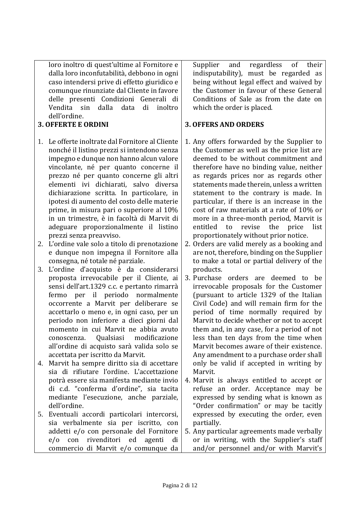loro inoltro di quest'ultime al Fornitore e dalla loro inconfutabilità, debbono in ogni caso intendersi prive di effetto giuridico e comunque rinunziate dal Cliente in favore delle presenti Condizioni Generali di Vendita sin dalla data di inoltro dell'ordine.

### **3. OFFERTE E ORDINI**

- 1. Le offerte inoltrate dal Fornitore al Cliente nonché il listino prezzi si intendono senza impegno e dunque non hanno alcun valore vincolante, né per quanto concerne il prezzo né per quanto concerne gli altri elementi ivi dichiarati, salvo diversa dichiarazione scritta. In particolare, in ipotesi di aumento del costo delle materie prime, in misura pari o superiore al 10% in un trimestre, è in facoltà di Marvit di adeguare proporzionalmente il listino prezzi senza preavviso.
- 2. L'ordine vale solo a titolo di prenotazione e dunque non impegna il Fornitore alla consegna, né totale né parziale.
- 3. L'ordine d'acquisto è da considerarsi proposta irrevocabile per il Cliente, ai sensi dell'art.1329 c.c. e pertanto rimarrà fermo per il periodo normalmente occorrente a Marvit per deliberare se accettarlo o meno e, in ogni caso, per un periodo non inferiore a dieci giorni dal momento in cui Marvit ne abbia avuto conoscenza. Qualsiasi modificazione all'ordine di acquisto sarà valida solo se accettata per iscritto da Marvit.
- 4. Marvit ha sempre diritto sia di accettare sia di rifiutare l'ordine. L'accettazione potrà essere sia manifesta mediante invio di c.d. "conferma d'ordine", sia tacita mediante l'esecuzione, anche parziale, dell'ordine.
- 5. Eventuali accordi particolari intercorsi, sia verbalmente sia per iscritto, con addetti e/o con personale del Fornitore e/o con rivenditori ed agenti di commercio di Marvit e/o comunque da

Supplier and regardless of their indisputability), must be regarded as being without legal effect and waived by the Customer in favour of these General Conditions of Sale as from the date on which the order is placed.

#### **3. OFFERS AND ORDERS**

- 1. Any offers forwarded by the Supplier to the Customer as well as the price list are deemed to be without commitment and therefore have no binding value, neither as regards prices nor as regards other statements made therein, unless a written statement to the contrary is made. In particular, if there is an increase in the cost of raw materials at a rate of 10% or more in a three-month period, Marvit is entitled to revise the price list proportionately without prior notice.
- 2. Orders are valid merely as a booking and are not, therefore, binding on the Supplier to make a total or partial delivery of the products.
- 3. Purchase orders are deemed to be irrevocable proposals for the Customer (pursuant to article 1329 of the Italian Civil Code) and will remain firm for the period of time normally required by Marvit to decide whether or not to accept them and, in any case, for a period of not less than ten days from the time when Marvit becomes aware of their existence. Any amendment to a purchase order shall only be valid if accepted in writing by Marvit.
- 4. Marvit is always entitled to accept or refuse an order. Acceptance may be expressed by sending what is known as "Order confirmation" or may be tacitly expressed by executing the order, even partially.
- 5. Any particular agreements made verbally or in writing, with the Supplier's staff and/or personnel and/or with Marvit's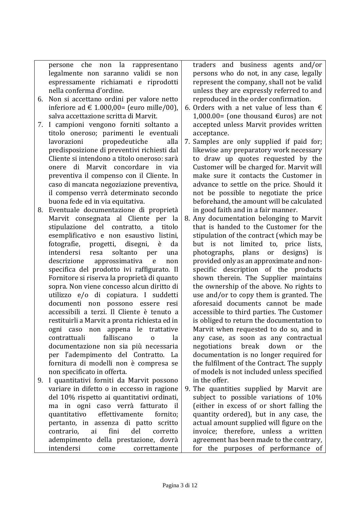persone che non la rappresentano legalmente non saranno validi se non espressamente richiamati e riprodotti nella conferma d'ordine.

- 6. Non si accettano ordini per valore netto inferiore ad € 1.000,00= (euro mille/00), salva accettazione scritta di Marvit.
- 7. I campioni vengono forniti soltanto a titolo oneroso; parimenti le eventuali lavorazioni propedeutiche alla predisposizione di preventivi richiesti dal Cliente si intendono a titolo oneroso: sarà onere di Marvit concordare in via preventiva il compenso con il Cliente. In caso di mancata negoziazione preventiva, il compenso verrà determinato secondo buona fede ed in via equitativa.
- 8. Eventuale documentazione di proprietà Marvit consegnata al Cliente per la stipulazione del contratto, a titolo esemplificativo e non esaustivo listini, fotografie, progetti, disegni, è da intendersi resa soltanto per una descrizione approssimativa e non specifica del prodotto ivi raffigurato. Il Fornitore si riserva la proprietà di quanto sopra. Non viene concesso alcun diritto di utilizzo e/o di copiatura. I suddetti documenti non possono essere resi accessibili a terzi. Il Cliente è tenuto a restituirli a Marvit a pronta richiesta ed in ogni caso non appena le trattative contrattuali falliscano o la documentazione non sia più necessaria per l'adempimento del Contratto. La fornitura di modelli non è compresa se non specificato in offerta.
- 9. I quantitativi forniti da Marvit possono variare in difetto o in eccesso in ragione del 10% rispetto ai quantitativi ordinati, ma in ogni caso verrà fatturato il quantitativo effettivamente fornito; pertanto, in assenza di patto scritto contrario, ai fini del corretto adempimento della prestazione, dovrà intendersi come correttamente

traders and business agents and/or persons who do not, in any case, legally represent the company, shall not be valid unless they are expressly referred to and reproduced in the order confirmation.

- 6. Orders with a net value of less than  $\epsilon$ 1,000.00= (one thousand  $\epsilon$ uros) are not accepted unless Marvit provides written acceptance.
- 7. Samples are only supplied if paid for; likewise any preparatory work necessary to draw up quotes requested by the Customer will be charged for. Marvit will make sure it contacts the Customer in advance to settle on the price. Should it not be possible to negotiate the price beforehand, the amount will be calculated in good faith and in a fair manner.
- 8. Any documentation belonging to Marvit that is handed to the Customer for the stipulation of the contract (which may be but is not limited to, price lists, photographs, plans or designs) is provided only as an approximate and nonspecific description of the products shown therein. The Supplier maintains the ownership of the above. No rights to use and/or to copy them is granted. The aforesaid documents cannot be made accessible to third parties. The Customer is obliged to return the documentation to Marvit when requested to do so, and in any case, as soon as any contractual negotiations break down or the documentation is no longer required for the fulfilment of the Contract. The supply of models is not included unless specified in the offer.
- 9. The quantities supplied by Marvit are subject to possible variations of 10% (either in excess of or short falling the quantity ordered), but in any case, the actual amount supplied will figure on the invoice; therefore, unless a written agreement has been made to the contrary, for the purposes of performance of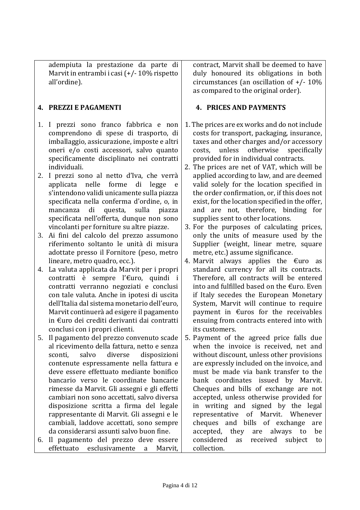adempiuta la prestazione da parte di Marvit in entrambi i casi (+/- 10% rispetto all'ordine).

## **4. PREZZI E PAGAMENTI**

- 1. I prezzi sono franco fabbrica e non comprendono di spese di trasporto, di imballaggio, assicurazione, imposte e altri oneri e/o costi accessori, salvo quanto specificamente disciplinato nei contratti individuali.
- 2. I prezzi sono al netto d'Iva, che verrà applicata nelle forme di legge e s'intendono validi unicamente sulla piazza specificata nella conferma d'ordine, o, in mancanza di questa, sulla piazza specificata nell'offerta, dunque non sono vincolanti per forniture su altre piazze.
- 3. Ai fini del calcolo del prezzo assumono riferimento soltanto le unità di misura adottate presso il Fornitore (peso, metro lineare, metro quadro, ecc.).
- 4. La valuta applicata da Marvit per i propri contratti è sempre l'€uro, quindi i contratti verranno negoziati e conclusi con tale valuta. Anche in ipotesi di uscita dell'Italia dal sistema monetario dell'euro, Marvit continuerà ad esigere il pagamento in €uro dei crediti derivanti dai contratti conclusi con i propri clienti.
- 5. Il pagamento del prezzo convenuto scade al ricevimento della fattura, netto e senza sconti, salvo diverse disposizioni contenute espressamente nella fattura e deve essere effettuato mediante bonifico bancario verso le coordinate bancarie rimesse da Marvit. Gli assegni e gli effetti cambiari non sono accettati, salvo diversa disposizione scritta a firma del legale rappresentante di Marvit. Gli assegni e le cambiali, laddove accettati, sono sempre da considerarsi assunti salvo buon fine.
- 6. Il pagamento del prezzo deve essere effettuato esclusivamente a Marvit,

contract, Marvit shall be deemed to have duly honoured its obligations in both circumstances (an oscillation of +/- 10% as compared to the original order).

### **4. PRICES AND PAYMENTS**

- 1. The prices are ex works and do not include costs for transport, packaging, insurance, taxes and other charges and/or accessory costs, unless otherwise specifically provided for in individual contracts.
- 2. The prices are net of VAT, which will be applied according to law, and are deemed valid solely for the location specified in the order confirmation, or, if this does not exist, for the location specified in the offer, and are not, therefore, binding for supplies sent to other locations.
- 3. For the purposes of calculating prices, only the units of measure used by the Supplier (weight, linear metre, square metre, etc.) assume significance.
- 4. Marvit always applies the  $\epsilon$ uro as standard currency for all its contracts. Therefore, all contracts will be entered into and fulfilled based on the  $\epsilon$ uro. Even if Italy secedes the European Monetary System, Marvit will continue to require payment in €uros for the receivables ensuing from contracts entered into with its customers.
- 5. Payment of the agreed price falls due when the invoice is received, net and without discount, unless other provisions are expressly included on the invoice, and must be made via bank transfer to the bank coordinates issued by Marvit. Cheques and bills of exchange are not accepted, unless otherwise provided for in writing and signed by the legal representative of Marvit. Whenever cheques and bills of exchange are accepted, they are always to be considered as received subject to collection.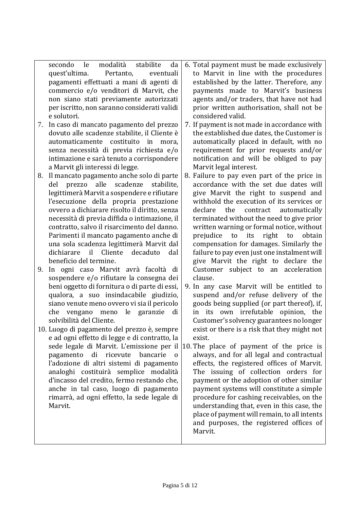| secondo le                                   | modalità stabilite da |           | 6. Total payment must be made exclusively    |
|----------------------------------------------|-----------------------|-----------|----------------------------------------------|
| quest'ultima. Pertanto,                      |                       | eventuali | to Marvit in line with the procedures        |
| pagamenti effettuati a mani di agenti di     |                       |           | established by the latter. Therefore, any    |
| commercio e/o venditori di Marvit, che       |                       |           | payments made to Marvit's business           |
| non siano stati previamente autorizzati      |                       |           | agents and/or traders, that have not had     |
| per iscritto, non saranno considerati validi |                       |           | prior written authorisation, shall not be    |
| e solutori.                                  |                       |           | considered valid.                            |
| 7. In caso di mancato pagamento del prezzo   |                       |           | 7. If payment is not made in accordance with |
| dovuto alle scadenze stabilite, il Cliente è |                       |           | the established due dates, the Customer is   |
| qutamaticamente costituite in mora           |                       |           | automatically placed in default with no      |

- automaticamente costituito in mora, senza necessità di previa richiesta e/o intimazione e sarà tenuto a corrispondere a Marvit gli interessi di legge.
- 8. Il mancato pagamento anche solo di parte del prezzo alle scadenze stabilite, legittimerà Marvit a sospendere e rifiutare l'esecuzione della propria prestazione ovvero a dichiarare risolto il diritto, senza necessità di previa diffida o intimazione, il contratto, salvo il risarcimento del danno. Parimenti il mancato pagamento anche di una sola scadenza legittimerà Marvit dal dichiarare il Cliente decaduto dal beneficio del termine.
- 9. In ogni caso Marvit avrà facoltà di sospendere e/o rifiutare la consegna dei beni oggetto di fornitura o di parte di essi, qualora, a suo insindacabile giudizio, siano venute meno ovvero vi sia il pericolo che vengano meno le garanzie di solvibilità del Cliente.
- 10. Luogo di pagamento del prezzo è, sempre e ad ogni effetto di legge e di contratto, la pagamento di ricevute bancarie o l'adozione di altri sistemi di pagamento analoghi costituirà semplice modalità d'incasso del credito, fermo restando che, anche in tal caso, luogo di pagamento rimarrà, ad ogni effetto, la sede legale di Marvit.
- automatically placed in default, with no requirement for prior requests and/or notification and will be obliged to pay
- Marvit legal interest. 8. Failure to pay even part of the price in accordance with the set due dates will give Marvit the right to suspend and withhold the execution of its services or declare the contract automatically terminated without the need to give prior written warning or formal notice, without prejudice to its right to obtain compensation for damages. Similarly the failure to pay even just one instalment will give Marvit the right to declare the Customer subject to an acceleration clause.
- 9. In any case Marvit will be entitled to suspend and/or refuse delivery of the goods being supplied (or part thereof), if, in its own irrefutable opinion, the Customer's solvency guarantees no longer exist or there is a risk that they might not exist.
- sede legale di Marvit. L'emissione per il 10. The place of payment of the price is always, and for all legal and contractual effects, the registered offices of Marvit. The issuing of collection orders for payment or the adoption of other similar payment systems will constitute a simple procedure for cashing receivables, on the understanding that, even in this case, the place of payment will remain, to all intents and purposes, the registered offices of Marvit.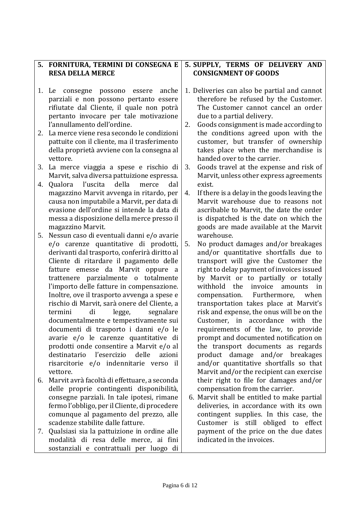|    | 5. FORNITURA, TERMINI DI CONSEGNA E                                                                                                                                                                                                                                                                                                                                                                                                                                                                                                                                                                                                                                                                                            | 5. SUPPLY, TERMS OF DELIVERY AND                                                                                                                                                                                                                                                                                                                                                                                                                                                                                                                                                                                                                                                             |
|----|--------------------------------------------------------------------------------------------------------------------------------------------------------------------------------------------------------------------------------------------------------------------------------------------------------------------------------------------------------------------------------------------------------------------------------------------------------------------------------------------------------------------------------------------------------------------------------------------------------------------------------------------------------------------------------------------------------------------------------|----------------------------------------------------------------------------------------------------------------------------------------------------------------------------------------------------------------------------------------------------------------------------------------------------------------------------------------------------------------------------------------------------------------------------------------------------------------------------------------------------------------------------------------------------------------------------------------------------------------------------------------------------------------------------------------------|
|    | <b>RESA DELLA MERCE</b>                                                                                                                                                                                                                                                                                                                                                                                                                                                                                                                                                                                                                                                                                                        | <b>CONSIGNMENT OF GOODS</b>                                                                                                                                                                                                                                                                                                                                                                                                                                                                                                                                                                                                                                                                  |
|    |                                                                                                                                                                                                                                                                                                                                                                                                                                                                                                                                                                                                                                                                                                                                |                                                                                                                                                                                                                                                                                                                                                                                                                                                                                                                                                                                                                                                                                              |
|    | anche<br>1. Le<br>consegne<br>possono essere<br>parziali e non possono pertanto essere<br>rifiutate dal Cliente, il quale non potrà<br>pertanto invocare per tale motivazione<br>l'annullamento dell'ordine.                                                                                                                                                                                                                                                                                                                                                                                                                                                                                                                   | 1. Deliveries can also be partial and cannot<br>therefore be refused by the Customer.<br>The Customer cannot cancel an order<br>due to a partial delivery.<br>Goods consignment is made according to<br>2.                                                                                                                                                                                                                                                                                                                                                                                                                                                                                   |
| 2. | La merce viene resa secondo le condizioni<br>pattuite con il cliente, ma il trasferimento<br>della proprietà avviene con la consegna al<br>vettore.                                                                                                                                                                                                                                                                                                                                                                                                                                                                                                                                                                            | the conditions agreed upon with the<br>customer, but transfer of ownership<br>takes place when the merchandise is<br>handed over to the carrier.                                                                                                                                                                                                                                                                                                                                                                                                                                                                                                                                             |
|    | 3. La merce viaggia a spese e rischio di<br>Marvit, salva diversa pattuizione espressa.                                                                                                                                                                                                                                                                                                                                                                                                                                                                                                                                                                                                                                        | Goods travel at the expense and risk of<br>3.<br>Marvit, unless other express agreements                                                                                                                                                                                                                                                                                                                                                                                                                                                                                                                                                                                                     |
| 4. | Qualora l'uscita<br>della<br>merce<br>dal                                                                                                                                                                                                                                                                                                                                                                                                                                                                                                                                                                                                                                                                                      | exist.                                                                                                                                                                                                                                                                                                                                                                                                                                                                                                                                                                                                                                                                                       |
|    | magazzino Marvit avvenga in ritardo, per<br>causa non imputabile a Marvit, per data di<br>evasione dell'ordine si intende la data di<br>messa a disposizione della merce presso il<br>magazzino Marvit.                                                                                                                                                                                                                                                                                                                                                                                                                                                                                                                        | If there is a delay in the goods leaving the<br>4.<br>Marvit warehouse due to reasons not<br>ascribable to Marvit, the date the order<br>is dispatched is the date on which the<br>goods are made available at the Marvit                                                                                                                                                                                                                                                                                                                                                                                                                                                                    |
| 5. | Nessun caso di eventuali danni e/o avarie<br>e/o carenze quantitative di prodotti,<br>derivanti dal trasporto, conferirà diritto al<br>Cliente di ritardare il pagamento delle<br>emesse da Marvit oppure a<br>fatture<br>trattenere parzialmente o totalmente<br>l'importo delle fatture in compensazione.<br>Inoltre, ove il trasporto avvenga a spese e<br>rischio di Marvit, sarà onere del Cliente, a<br>termini<br>di<br>legge,<br>segnalare<br>documentalmente e tempestivamente sui<br>documenti di trasporto i danni e/o le<br>avarie e/o le carenze quantitative di<br>prodotti onde consentire a Marvit e/o al<br>destinatario l'esercizio<br>delle<br>azioni<br>risarcitorie e/o indennitarie verso il<br>vettore. | warehouse.<br>No product damages and/or breakages<br>5.<br>and/or quantitative shortfalls due to<br>transport will give the Customer the<br>right to delay payment of invoices issued<br>by Marvit or to partially or totally<br>withhold the<br>invoice<br>amounts<br>in<br>Furthermore,<br>compensation.<br>when<br>transportation takes place at Marvit's<br>risk and expense, the onus will be on the<br>Customer, in accordance with the<br>requirements of the law, to provide<br>prompt and documented notification on<br>the transport documents as regards<br>product damage and/or breakages<br>and/or quantitative shortfalls so that<br>Marvit and/or the recipient can exercise |
| 6. | Marvit avrà facoltà di effettuare, a seconda<br>delle proprie contingenti disponibilità,<br>consegne parziali. In tale ipotesi, rimane<br>fermo l'obbligo, per il Cliente, di procedere<br>comunque al pagamento del prezzo, alle<br>scadenze stabilite dalle fatture.                                                                                                                                                                                                                                                                                                                                                                                                                                                         | their right to file for damages and/or<br>compensation from the carrier.<br>6. Marvit shall be entitled to make partial<br>deliveries, in accordance with its own<br>contingent supplies. In this case, the<br>Customer is still obliged to effect                                                                                                                                                                                                                                                                                                                                                                                                                                           |
| 7. | Qualsiasi sia la pattuizione in ordine alle<br>modalità di resa delle merce, ai fini<br>sostanziali e contrattuali per luogo di                                                                                                                                                                                                                                                                                                                                                                                                                                                                                                                                                                                                | payment of the price on the due dates<br>indicated in the invoices.                                                                                                                                                                                                                                                                                                                                                                                                                                                                                                                                                                                                                          |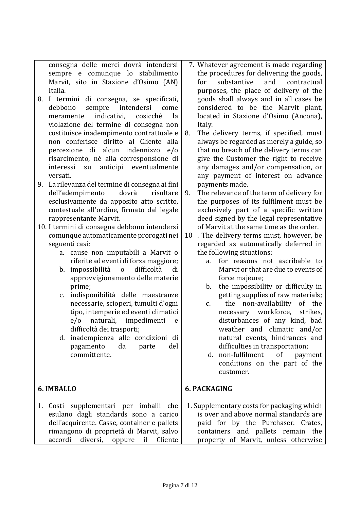consegna delle merci dovrà intendersi sempre e comunque lo stabilimento Marvit, sito in Stazione d'Osimo (AN) Italia.

- 8. I termini di consegna, se specificati, debbono sempre intendersi come meramente indicativi, cosicché la violazione del termine di consegna non costituisce inadempimento contrattuale e non conferisce diritto al Cliente alla percezione di alcun indennizzo e/o risarcimento, né alla corresponsione di interessi su anticipi eventualmente versati.
- 9. La rilevanza del termine di consegna ai fini dell'adempimento dovrà risultare esclusivamente da apposito atto scritto, contestuale all'ordine, firmato dal legale rappresentante Marvit.

10. I termini di consegna debbono intendersi comunque automaticamente prorogati nei seguenti casi:

- a. cause non imputabili a Marvit o riferite ad eventi di forza maggiore;
- b. impossibilità o difficoltà di approvvigionamento delle materie prime;
- c. indisponibilità delle maestranze necessarie, scioperi, tumulti d'ogni tipo, intemperie ed eventi climatici e/o naturali, impedimenti e difficoltà dei trasporti;
- d. inadempienza alle condizioni di pagamento da parte del committente.

# **6. IMBALLO**

1. Costi supplementari per imballi che esulano dagli standards sono a carico dell'acquirente. Casse, container e pallets rimangono di proprietà di Marvit, salvo accordi diversi, oppure il Cliente

- 7. Whatever agreement is made regarding the procedures for delivering the goods, for substantive and contractual purposes, the place of delivery of the goods shall always and in all cases be considered to be the Marvit plant, located in Stazione d'Osimo (Ancona), Italy.
- 8. The delivery terms, if specified, must always be regarded as merely a guide, so that no breach of the delivery terms can give the Customer the right to receive any damages and/or compensation, or any payment of interest on advance payments made.
- 9. The relevance of the term of delivery for the purposes of its fulfilment must be exclusively part of a specific written deed signed by the legal representative of Marvit at the same time as the order.
- 10 . The delivery terms must, however, be regarded as automatically deferred in the following situations:
	- a. for reasons not ascribable to Marvit or that are due to events of force majeure;
	- b. the impossibility or difficulty in getting supplies of raw materials;
	- c. the non-availability of the necessary workforce, strikes, disturbances of any kind, bad weather and climatic and/or natural events, hindrances and difficulties in transportation;
	- d. non-fulfilment of payment conditions on the part of the customer.

# **6. PACKAGING**

1. Supplementary costs for packaging which is over and above normal standards are paid for by the Purchaser. Crates, containers and pallets remain the property of Marvit, unless otherwise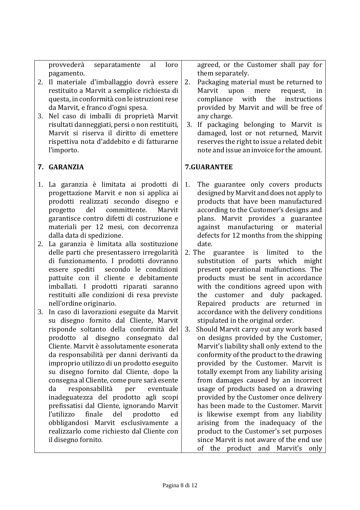provvederà separatamente al loro pagamento.

- 2. Il materiale d'imballaggio dovrà essere restituito a Marvit a semplice richiesta di questa, in conformità con le istruzioni rese da Marvit, e franco d'ogni spesa.
- 3. Nel caso di imballi di proprietà Marvit risultati danneggiati, persi o non restituiti, Marvit si riserva il diritto di emettere rispettiva nota d'addebito e di fatturarne l'importo.

# **7. GARANZIA**

- 1. La garanzia è limitata ai prodotti di progettazione Marvit e non si applica ai prodotti realizzati secondo disegno e progetto del committente. Marvit garantisce contro difetti di costruzione e materiali per 12 mesi, con decorrenza dalla data di spedizione.
- 2. La garanzia è limitata alla sostituzione delle parti che presentassero irregolarità di funzionamento. I prodotti dovranno essere spediti secondo le condizioni pattuite con il cliente e debitamente imballati. I prodotti riparati saranno restituiti alle condizioni di resa previste nell'ordine originario.
- 3. In caso di lavorazioni eseguite da Marvit su disegno fornito dal Cliente, Marvit risponde soltanto della conformità del prodotto al disegno consegnato dal Cliente. Marvit è assolutamente esonerata da responsabilità per danni derivanti da improprio utilizzo di un prodotto eseguito su disegno fornito dal Cliente, dopo la consegna al Cliente, come pure sarà esente da responsabilità per eventuale inadeguatezza del prodotto agli scopi prefissatisi dal Cliente, ignorando Marvit l'utilizzo finale del prodotto ed obbligandosi Marvit esclusivamente a realizzarlo come richiesto dal Cliente con il disegno fornito.

agreed, or the Customer shall pay for them separately.

- 2. Packaging material must be returned to Marvit upon mere request, in compliance with the instructions provided by Marvit and will be free of any charge.
- 3. If packaging belonging to Marvit is damaged, lost or not returned, Marvit reserves the right to issue a related debit note and issue an invoice for the amount.

## **7.GUARANTEE**

- 1. The guarantee only covers products designed by Marvit and does not apply to products that have been manufactured according to the Customer's designs and plans. Marvit provides a guarantee against manufacturing or material defects for 12 months from the shipping date.
- 2. The guarantee is limited to the substitution of parts which might present operational malfunctions. The products must be sent in accordance with the conditions agreed upon with the customer and duly packaged. Repaired products are returned in accordance with the delivery conditions stipulated in the original order.
- 3. Should Marvit carry out any work based on designs provided by the Customer, Marvit's liability shall only extend to the conformity of the product to the drawing provided by the Customer. Marvit is totally exempt from any liability arising from damages caused by an incorrect usage of products based on a drawing provided by the Customer once delivery has been made to the Customer. Marvit is likewise exempt from any liability arising from the inadequacy of the product to the Customer's set purposes since Marvit is not aware of the end use of the product and Marvit's only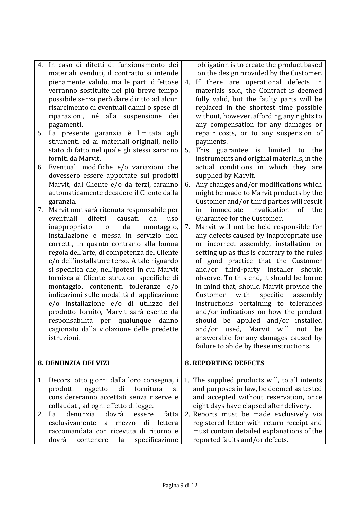- 4. In caso di difetti di funzionamento dei materiali venduti, il contratto si intende pienamente valido, ma le parti difettose verranno sostituite nel più breve tempo possibile senza però dare diritto ad alcun risarcimento di eventuali danni o spese di riparazioni, né alla sospensione dei pagamenti.
- 5. La presente garanzia è limitata agli strumenti ed ai materiali originali, nello stato di fatto nel quale gli stessi saranno forniti da Marvit.
- 6. Eventuali modifiche e/o variazioni che dovessero essere apportate sui prodotti Marvit, dal Cliente e/o da terzi, faranno automaticamente decadere il Cliente dalla garanzia.
- 7. Marvit non sarà ritenuta responsabile per eventuali difetti causati da uso inappropriato o da montaggio, installazione e messa in servizio non corretti, in quanto contrario alla buona regola dell'arte, di competenza del Cliente e/o dell'installatore terzo. A tale riguardo si specifica che, nell'ipotesi in cui Marvit fornisca al Cliente istruzioni specifiche di montaggio, contenenti tolleranze e/o indicazioni sulle modalità di applicazione e/o installazione e/o di utilizzo del prodotto fornito, Marvit sarà esente da responsabilità per qualunque danno cagionato dalla violazione delle predette istruzioni.

## **8. DENUNZIA DEI VIZI**

- 1. Decorsi otto giorni dalla loro consegna, i prodotti oggetto di fornitura si considereranno accettati senza riserve e collaudati, ad ogni effetto di legge.
- 2. La denunzia dovrà essere fatta esclusivamente a mezzo di lettera raccomandata con ricevuta di ritorno e dovrà contenere la specificazione

obligation is to create the product based on the design provided by the Customer.

- 4. If there are operational defects in materials sold, the Contract is deemed fully valid, but the faulty parts will be replaced in the shortest time possible without, however, affording any rights to any compensation for any damages or repair costs, or to any suspension of payments.
- 5. This guarantee is limited to the instruments and original materials, in the actual conditions in which they are supplied by Marvit.
- 6. Any changes and/or modifications which might be made to Marvit products by the Customer and/or third parties will result in immediate invalidation of the Guarantee for the Customer.
- 7. Marvit will not be held responsible for any defects caused by inappropriate use or incorrect assembly, installation or setting up as this is contrary to the rules of good practice that the Customer and/or third-party installer should observe. To this end, it should be borne in mind that, should Marvit provide the Customer with specific assembly instructions pertaining to tolerances and/or indications on how the product should be applied and/or installed and/or used, Marvit will not be answerable for any damages caused by failure to abide by these instructions.

## **8. REPORTING DEFECTS**

- 1. The supplied products will, to all intents and purposes in law, be deemed as tested and accepted without reservation, once eight days have elapsed after delivery.
- 2. Reports must be made exclusively via registered letter with return receipt and must contain detailed explanations of the reported faults and/or defects.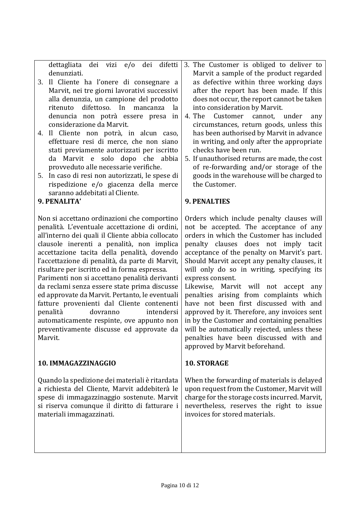denunziati.

- 3. Il Cliente ha l'onere di consegnare a Marvit, nei tre giorni lavorativi successivi alla denunzia, un campione del prodotto ritenuto difettoso. In mancanza la denuncia non potrà essere presa in considerazione da Marvit.
- 4. Il Cliente non potrà, in alcun caso, effettuare resi di merce, che non siano stati previamente autorizzati per iscritto da Marvit e solo dopo che abbia provveduto alle necessarie verifiche.
- 5. In caso di resi non autorizzati, le spese di rispedizione e/o giacenza della merce saranno addebitati al Cliente.

# **9. PENALITA'**

Non si accettano ordinazioni che comportino penalità. L'eventuale accettazione di ordini, all'interno dei quali il Cliente abbia collocato clausole inerenti a penalità, non implica accettazione tacita della penalità, dovendo l'accettazione di penalità, da parte di Marvit, risultare per iscritto ed in forma espressa.

Parimenti non si accettano penalità derivanti da reclami senza essere state prima discusse ed approvate da Marvit. Pertanto, le eventuali fatture provenienti dal Cliente contenenti penalità dovranno intendersi automaticamente respinte, ove appunto non preventivamente discusse ed approvate da Marvit.

# **10. IMMAGAZZINAGGIO**

Quando la spedizione dei materiali è ritardata a richiesta del Cliente, Marvit addebiterà le spese di immagazzinaggio sostenute. Marvit si riserva comunque il diritto di fatturare i materiali immagazzinati.

- dettagliata dei vizi e/o dei difetti 3. The Customer is obliged to deliver to Marvit a sample of the product regarded as defective within three working days after the report has been made. If this does not occur, the report cannot be taken into consideration by Marvit.
	- 4. The Customer cannot, under any circumstances, return goods, unless this has been authorised by Marvit in advance in writing, and only after the appropriate checks have been run.
	- 5. If unauthorised returns are made, the cost of re-forwarding and/or storage of the goods in the warehouse will be charged to the Customer.

# **9. PENALTIES**

Orders which include penalty clauses will not be accepted. The acceptance of any orders in which the Customer has included penalty clauses does not imply tacit acceptance of the penalty on Marvit's part. Should Marvit accept any penalty clauses, it will only do so in writing, specifying its express consent.

Likewise, Marvit will not accept any penalties arising from complaints which have not been first discussed with and approved by it. Therefore, any invoices sent in by the Customer and containing penalties will be automatically rejected, unless these penalties have been discussed with and approved by Marvit beforehand.

# **10. STORAGE**

When the forwarding of materials is delayed upon request from the Customer, Marvit will charge for the storage costs incurred. Marvit, nevertheless, reserves the right to issue invoices for stored materials.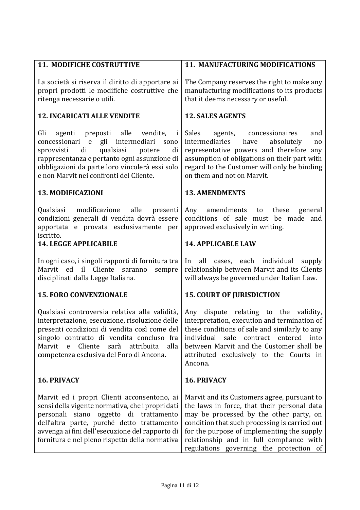| <b>11. MODIFICHE COSTRUTTIVE</b>                                                                                                                                                                                                                                                                          | 11. MANUFACTURING MODIFICATIONS                                                                                                                                                                                                                                                                                             |
|-----------------------------------------------------------------------------------------------------------------------------------------------------------------------------------------------------------------------------------------------------------------------------------------------------------|-----------------------------------------------------------------------------------------------------------------------------------------------------------------------------------------------------------------------------------------------------------------------------------------------------------------------------|
| La società si riserva il diritto di apportare ai<br>propri prodotti le modifiche costruttive che<br>ritenga necessarie o utili.                                                                                                                                                                           | The Company reserves the right to make any<br>manufacturing modifications to its products<br>that it deems necessary or useful.                                                                                                                                                                                             |
| <b>12. INCARICATI ALLE VENDITE</b>                                                                                                                                                                                                                                                                        | <b>12. SALES AGENTS</b>                                                                                                                                                                                                                                                                                                     |
| agenti preposti alle vendite,<br>Gli<br>i<br>concessionari e gli intermediari<br>sono<br>qualsiasi<br>di<br>potere<br>sprovvisti<br>di<br>rappresentanza e pertanto ogni assunzione di<br>obbligazioni da parte loro vincolerà essi solo<br>e non Marvit nei confronti del Cliente.                       | Sales<br>agents, concessionaires<br>and<br>intermediaries<br>absolutely<br>have<br>no<br>representative powers and therefore any<br>assumption of obligations on their part with<br>regard to the Customer will only be binding<br>on them and not on Marvit.                                                               |
| 13. MODIFICAZIONI                                                                                                                                                                                                                                                                                         | <b>13. AMENDMENTS</b>                                                                                                                                                                                                                                                                                                       |
| Qualsiasi modificazione alle<br>presenti<br>condizioni generali di vendita dovrà essere<br>apportata e provata esclusivamente per<br>iscritto.                                                                                                                                                            | amendments<br>these<br>Any<br>to<br>general<br>conditions of sale must be made and<br>approved exclusively in writing.                                                                                                                                                                                                      |
| <b>14. LEGGE APPLICABILE</b>                                                                                                                                                                                                                                                                              | <b>14. APPLICABLE LAW</b>                                                                                                                                                                                                                                                                                                   |
| In ogni caso, i singoli rapporti di fornitura tra<br>Marvit ed il Cliente saranno<br>sempre<br>disciplinati dalla Legge Italiana.                                                                                                                                                                         | cases, each individual supply<br>all<br>In<br>relationship between Marvit and its Clients<br>will always be governed under Italian Law.                                                                                                                                                                                     |
| <b>15. FORO CONVENZIONALE</b>                                                                                                                                                                                                                                                                             | <b>15. COURT OF JURISDICTION</b>                                                                                                                                                                                                                                                                                            |
| Qualsiasi controversia relativa alla validità,<br>interpretazione, esecuzione, risoluzione delle<br>presenti condizioni di vendita così come del<br>singolo contratto di vendita concluso fra<br>sarà attribuita<br>alla<br>Marvit<br>Cliente<br>$\mathbf{e}$<br>competenza esclusiva del Foro di Ancona. | dispute relating to the validity,<br>Any<br>interpretation, execution and termination of<br>these conditions of sale and similarly to any<br>individual<br>sale contract<br>entered<br>into<br>between Marvit and the Customer shall be<br>attributed exclusively to the Courts in<br>Ancona.                               |
| <b>16. PRIVACY</b>                                                                                                                                                                                                                                                                                        | <b>16. PRIVACY</b>                                                                                                                                                                                                                                                                                                          |
| Marvit ed i propri Clienti acconsentono, ai<br>sensi della vigente normativa, che i propri dati<br>personali siano oggetto di trattamento<br>dell'altra parte, purché detto trattamento<br>avvenga ai fini dell'esecuzione del rapporto di<br>fornitura e nel pieno rispetto della normativa              | Marvit and its Customers agree, pursuant to<br>the laws in force, that their personal data<br>may be processed by the other party, on<br>condition that such processing is carried out<br>for the purpose of implementing the supply<br>relationship and in full compliance with<br>regulations governing the protection of |